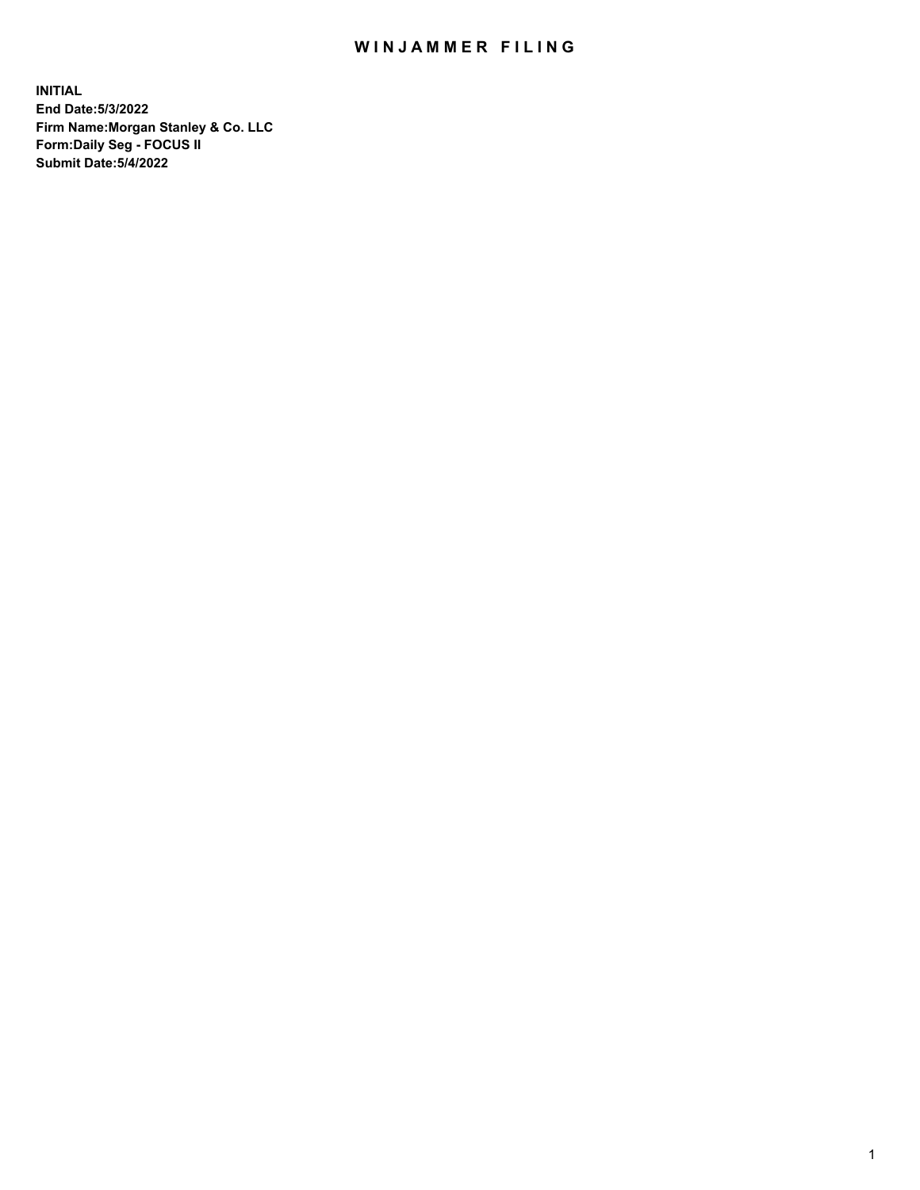## WIN JAMMER FILING

**INITIAL End Date:5/3/2022 Firm Name:Morgan Stanley & Co. LLC Form:Daily Seg - FOCUS II Submit Date:5/4/2022**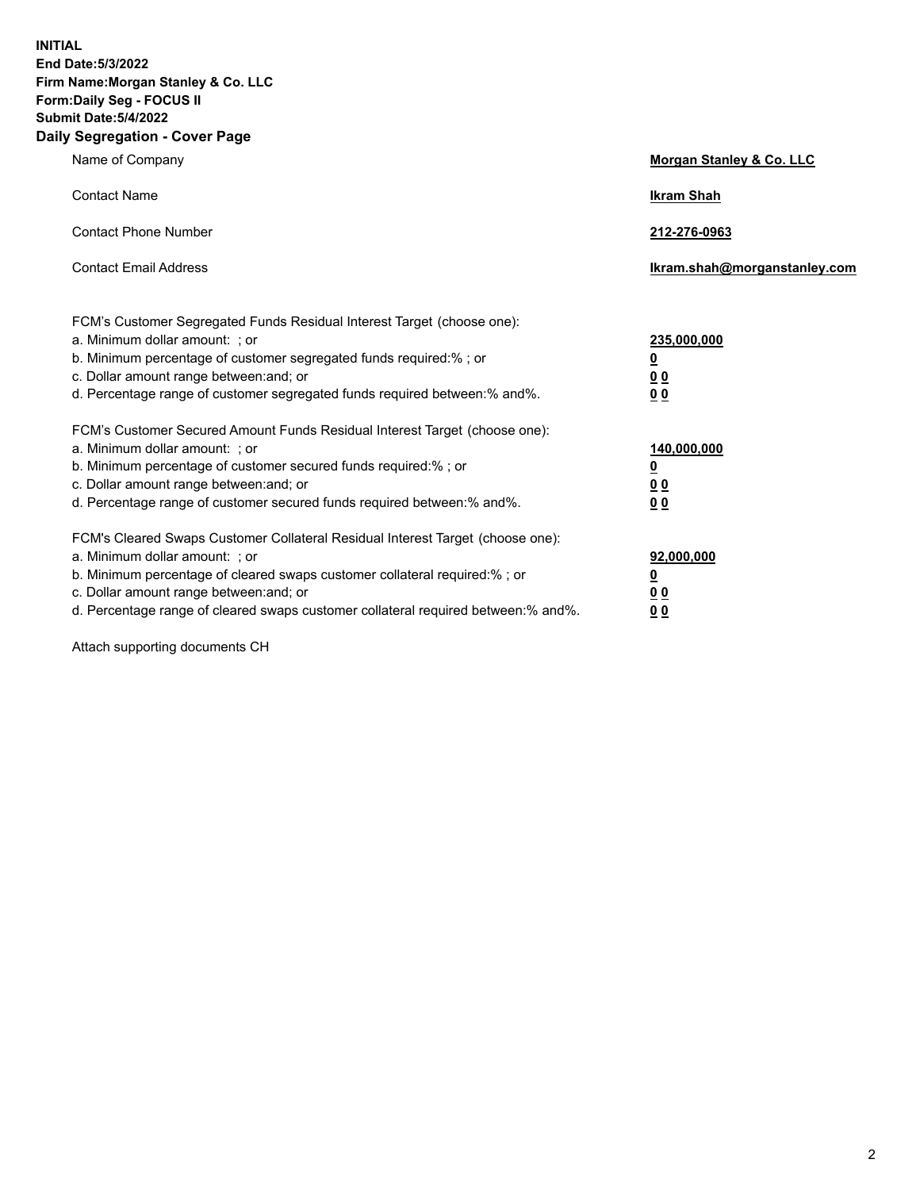**INITIAL End Date:5/3/2022 Firm Name:Morgan Stanley & Co. LLC Form:Daily Seg - FOCUS II Submit Date:5/4/2022 Daily Segregation - Cover Page**

| Name of Company                                                                                                                                                                                                                                                                                                                | <b>Morgan Stanley &amp; Co. LLC</b>                    |
|--------------------------------------------------------------------------------------------------------------------------------------------------------------------------------------------------------------------------------------------------------------------------------------------------------------------------------|--------------------------------------------------------|
| <b>Contact Name</b>                                                                                                                                                                                                                                                                                                            | <b>Ikram Shah</b>                                      |
| <b>Contact Phone Number</b>                                                                                                                                                                                                                                                                                                    | 212-276-0963                                           |
| <b>Contact Email Address</b>                                                                                                                                                                                                                                                                                                   | Ikram.shah@morganstanley.com                           |
| FCM's Customer Segregated Funds Residual Interest Target (choose one):<br>a. Minimum dollar amount: : or<br>b. Minimum percentage of customer segregated funds required:%; or<br>c. Dollar amount range between: and; or<br>d. Percentage range of customer segregated funds required between:% and%.                          | 235,000,000<br><u>0</u><br><u>00</u><br><u>00</u>      |
| FCM's Customer Secured Amount Funds Residual Interest Target (choose one):<br>a. Minimum dollar amount: ; or<br>b. Minimum percentage of customer secured funds required:%; or<br>c. Dollar amount range between: and; or<br>d. Percentage range of customer secured funds required between:% and%.                            | 140,000,000<br><u>0</u><br><u>00</u><br>0 <sub>0</sub> |
| FCM's Cleared Swaps Customer Collateral Residual Interest Target (choose one):<br>a. Minimum dollar amount: ; or<br>b. Minimum percentage of cleared swaps customer collateral required:% ; or<br>c. Dollar amount range between: and; or<br>d. Percentage range of cleared swaps customer collateral required between:% and%. | 92,000,000<br><u>0</u><br><u>00</u><br>00              |

Attach supporting documents CH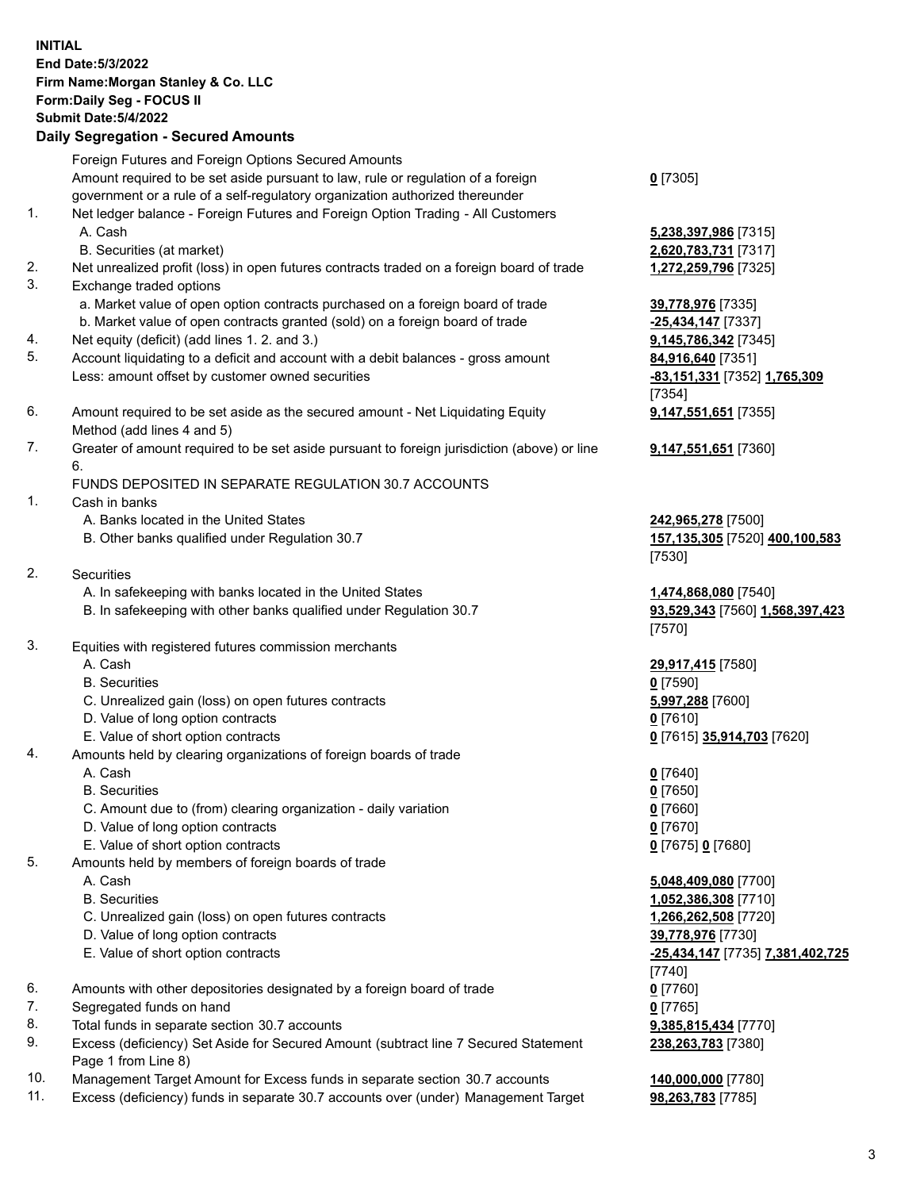|          | <b>INITIAL</b><br>End Date: 5/3/2022<br>Firm Name: Morgan Stanley & Co. LLC<br>Form: Daily Seg - FOCUS II<br><b>Submit Date: 5/4/2022</b><br><b>Daily Segregation - Secured Amounts</b>                                                            |                                                                                                                                                |
|----------|----------------------------------------------------------------------------------------------------------------------------------------------------------------------------------------------------------------------------------------------------|------------------------------------------------------------------------------------------------------------------------------------------------|
|          | Foreign Futures and Foreign Options Secured Amounts<br>Amount required to be set aside pursuant to law, rule or regulation of a foreign<br>government or a rule of a self-regulatory organization authorized thereunder                            | $0$ [7305]                                                                                                                                     |
| 1.       | Net ledger balance - Foreign Futures and Foreign Option Trading - All Customers<br>A. Cash<br>B. Securities (at market)                                                                                                                            | 5,238,397,986 [7315]<br>2,620,783,731 [7317]                                                                                                   |
| 2.<br>3. | Net unrealized profit (loss) in open futures contracts traded on a foreign board of trade<br>Exchange traded options<br>a. Market value of open option contracts purchased on a foreign board of trade                                             | 1,272,259,796 [7325]<br>39,778,976 [7335]                                                                                                      |
| 4.<br>5. | b. Market value of open contracts granted (sold) on a foreign board of trade<br>Net equity (deficit) (add lines 1. 2. and 3.)<br>Account liquidating to a deficit and account with a debit balances - gross amount                                 | $-25,434,147$ [7337]<br>9,145,786,342 [7345]<br>84,916,640 [7351]                                                                              |
| 6.       | Less: amount offset by customer owned securities<br>Amount required to be set aside as the secured amount - Net Liquidating Equity                                                                                                                 | -83,151,331 [7352] 1,765,309<br>[7354]<br>9,147,551,651 [7355]                                                                                 |
| 7.       | Method (add lines 4 and 5)<br>Greater of amount required to be set aside pursuant to foreign jurisdiction (above) or line<br>6.                                                                                                                    | 9,147,551,651 [7360]                                                                                                                           |
| 1.       | FUNDS DEPOSITED IN SEPARATE REGULATION 30.7 ACCOUNTS<br>Cash in banks                                                                                                                                                                              |                                                                                                                                                |
|          | A. Banks located in the United States<br>B. Other banks qualified under Regulation 30.7                                                                                                                                                            | 242,965,278 [7500]<br>157,135,305 [7520] 400,100,583<br>[7530]                                                                                 |
| 2.       | Securities                                                                                                                                                                                                                                         |                                                                                                                                                |
|          | A. In safekeeping with banks located in the United States<br>B. In safekeeping with other banks qualified under Regulation 30.7                                                                                                                    | 1,474,868,080 [7540]<br>93,529,343 [7560] 1,568,397,423<br>[7570]                                                                              |
| 3.       | Equities with registered futures commission merchants<br>A. Cash<br><b>B.</b> Securities<br>C. Unrealized gain (loss) on open futures contracts<br>D. Value of long option contracts<br>E. Value of short option contracts                         | 29,917,415 [7580]<br>$0$ [7590]<br>5,997,288 [7600]<br>$0$ [7610]<br>0 [7615] 35,914,703 [7620]                                                |
| 4.       | Amounts held by clearing organizations of foreign boards of trade<br>A. Cash<br><b>B.</b> Securities<br>C. Amount due to (from) clearing organization - daily variation<br>D. Value of long option contracts<br>E. Value of short option contracts | $0$ [7640]<br>$0$ [7650]<br>$0$ [7660]<br>$0$ [7670]<br>0 [7675] 0 [7680]                                                                      |
| 5.       | Amounts held by members of foreign boards of trade<br>A. Cash<br><b>B.</b> Securities<br>C. Unrealized gain (loss) on open futures contracts<br>D. Value of long option contracts<br>E. Value of short option contracts                            | 5,048,409,080 [7700]<br>1,052,386,308 [7710]<br>1,266,262,508 [7720]<br>39,778,976 [7730]<br><u>-25,434,147</u> [7735] 7,381,402,725<br>[7740] |
| 6.<br>7. | Amounts with other depositories designated by a foreign board of trade<br>Segregated funds on hand                                                                                                                                                 | $0$ [7760]<br>$0$ [7765]                                                                                                                       |
| 8.<br>9. | Total funds in separate section 30.7 accounts<br>Excess (deficiency) Set Aside for Secured Amount (subtract line 7 Secured Statement                                                                                                               | 9,385,815,434 [7770]<br>238,263,783 [7380]                                                                                                     |

- 9. Excess (deficiency) Set Aside for Secured Amount (subtract line 7 Secured Statement Page 1 from Line 8) 10. Management Target Amount for Excess funds in separate section 30.7 accounts **140,000,000** [7780]
- 11. Excess (deficiency) funds in separate 30.7 accounts over (under) Management Target **98,263,783** [7785]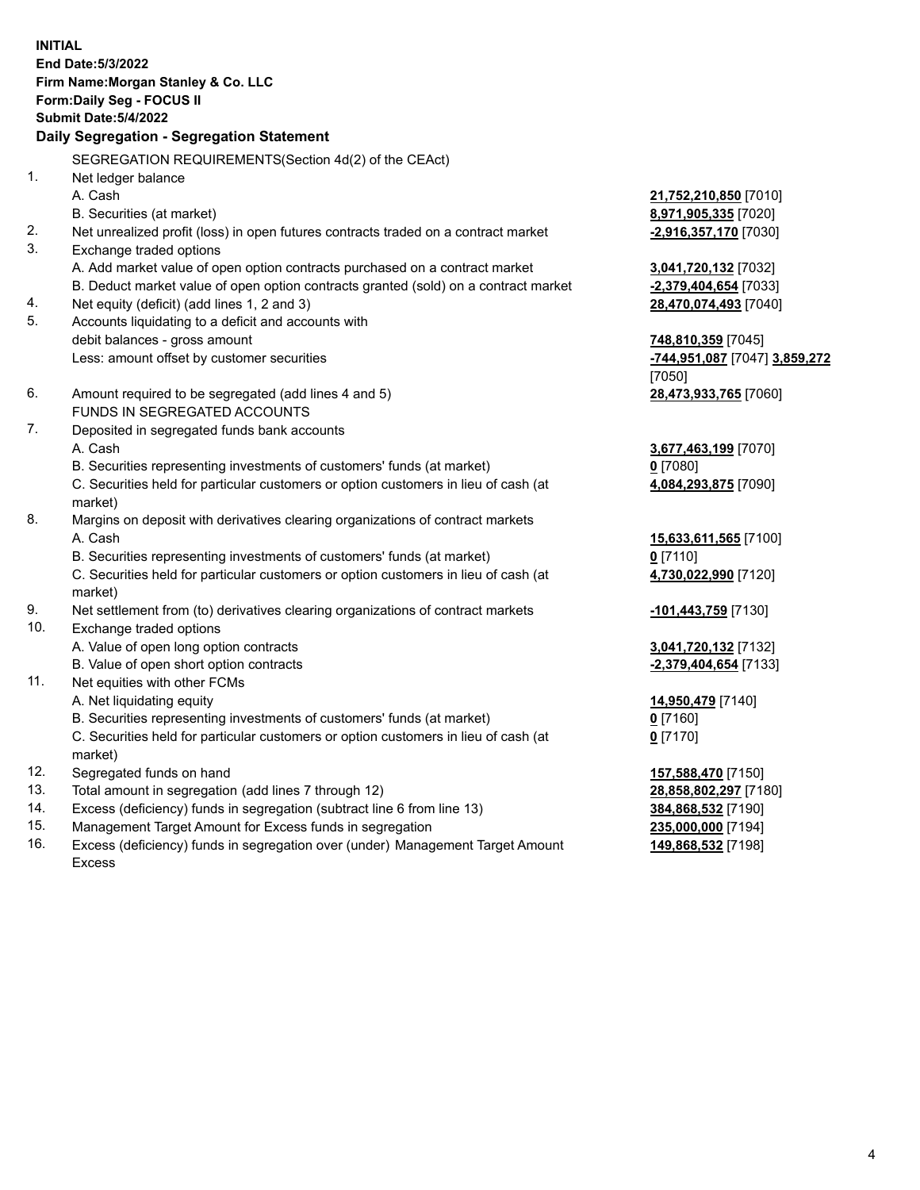**INITIAL End Date:5/3/2022 Firm Name:Morgan Stanley & Co. LLC Form:Daily Seg - FOCUS II Submit Date:5/4/2022 Daily Segregation - Segregation Statement** SEGREGATION REQUIREMENTS(Section 4d(2) of the CEAct) 1. Net ledger balance A. Cash **21,752,210,850** [7010] B. Securities (at market) **8,971,905,335** [7020] 2. Net unrealized profit (loss) in open futures contracts traded on a contract market **-2,916,357,170** [7030] 3. Exchange traded options A. Add market value of open option contracts purchased on a contract market **3,041,720,132** [7032] B. Deduct market value of open option contracts granted (sold) on a contract market **-2,379,404,654** [7033] 4. Net equity (deficit) (add lines 1, 2 and 3) **28,470,074,493** [7040] 5. Accounts liquidating to a deficit and accounts with debit balances - gross amount **748,810,359** [7045] Less: amount offset by customer securities **-744,951,087** [7047] **3,859,272** [7050] 6. Amount required to be segregated (add lines 4 and 5) **28,473,933,765** [7060] FUNDS IN SEGREGATED ACCOUNTS 7. Deposited in segregated funds bank accounts A. Cash **3,677,463,199** [7070] B. Securities representing investments of customers' funds (at market) **0** [7080] C. Securities held for particular customers or option customers in lieu of cash (at market) **4,084,293,875** [7090] 8. Margins on deposit with derivatives clearing organizations of contract markets A. Cash **15,633,611,565** [7100] B. Securities representing investments of customers' funds (at market) **0** [7110] C. Securities held for particular customers or option customers in lieu of cash (at market) **4,730,022,990** [7120] 9. Net settlement from (to) derivatives clearing organizations of contract markets **-101,443,759** [7130] 10. Exchange traded options A. Value of open long option contracts **3,041,720,132** [7132] B. Value of open short option contracts **-2,379,404,654** [7133] 11. Net equities with other FCMs A. Net liquidating equity **14,950,479** [7140] B. Securities representing investments of customers' funds (at market) **0** [7160] C. Securities held for particular customers or option customers in lieu of cash (at market) **0** [7170] 12. Segregated funds on hand **157,588,470** [7150] 13. Total amount in segregation (add lines 7 through 12) **28,858,802,297** [7180] 14. Excess (deficiency) funds in segregation (subtract line 6 from line 13) **384,868,532** [7190] 15. Management Target Amount for Excess funds in segregation **235,000,000** [7194]

16. Excess (deficiency) funds in segregation over (under) Management Target Amount Excess

**149,868,532** [7198]